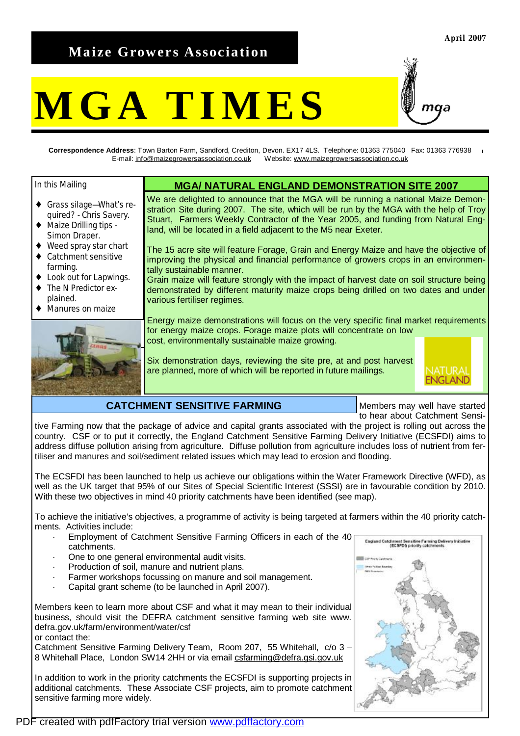# **Maize Growers Association**

# **MGA TIMES**



**Correspondence Address**: Town Barton Farm, Sandford, Crediton, Devon. EX17 4LS. Telephone: 01363 775040 Fax: 01363 776938 E-mail: [info@maizegrowersassociation.co.uk](mailto:info@maizegrowersassociation.co.uk) Website: [www.maizegrowersassociation.co.uk](http://www.maizegrowersassociation.co.uk)

In this Mailing

- ♦ Grass silage—What's required? - Chris Savery.
- ♦ Maize Drilling tips Simon Draper.
- ♦ Weed spray star chart
- Catchment sensitive farming.
- Look out for Lapwings.
- The N Predictor explained.
- Manures on maize



### **MGA/ NATURAL ENGLAND DEMONSTRATION SITE 2007**

We are delighted to announce that the MGA will be running a national Maize Demonstration Site during 2007. The site, which will be run by the MGA with the help of Troy Stuart, Farmers Weekly Contractor of the Year 2005, and funding from Natural England, will be located in a field adjacent to the M5 near Exeter.

The 15 acre site will feature Forage, Grain and Energy Maize and have the objective of improving the physical and financial performance of growers crops in an environmentally sustainable manner.

Grain maize will feature strongly with the impact of harvest date on soil structure being demonstrated by different maturity maize crops being drilled on two dates and under various fertiliser regimes.

Energy maize demonstrations will focus on the very specific final market requirements for energy maize crops. Forage maize plots will concentrate on low cost, environmentally sustainable maize growing.

Six demonstration days, reviewing the site pre, at and post harvest are planned, more of which will be reported in future mailings.



# **CATCHMENT SENSITIVE FARMING**

Members may well have started to hear about Catchment Sensi-

tive Farming now that the package of advice and capital grants associated with the project is rolling out across the country. CSF or to put it correctly, the England Catchment Sensitive Farming Delivery Initiative (ECSFDI) aims to address diffuse pollution arising from agriculture. Diffuse pollution from agriculture includes loss of nutrient from fertiliser and manures and soil/sediment related issues which may lead to erosion and flooding.

The ECSFDI has been launched to help us achieve our obligations within the Water Framework Directive (WFD), as well as the UK target that 95% of our Sites of Special Scientific Interest (SSSI) are in favourable condition by 2010. With these two objectives in mind 40 priority catchments have been identified (see map).

To achieve the initiative's objectives, a programme of activity is being targeted at farmers within the 40 priority catchments. Activities include:

- Employment of Catchment Sensitive Farming Officers in each of the 40 catchments.
- One to one general environmental audit visits.
- Production of soil, manure and nutrient plans.
- Farmer workshops focussing on manure and soil management.
- Capital grant scheme (to be launched in April 2007).

Members keen to learn more about CSF and what it may mean to their individual business, should visit the DEFRA catchment sensitive farming web site www. defra.gov.uk/farm/environment/water/csf

or contact the:

Catchment Sensitive Farming Delivery Team, Room 207, 55 Whitehall, c/o 3 – 8 Whitehall Place, London SW14 2HH or via email [csfarming@defra.gsi.gov.uk](mailto:csfarming@defra.gsi.gov.uk)

In addition to work in the priority catchments the ECSFDI is supporting projects in additional catchments. These Associate CSF projects, aim to promote catchment sensitive farming more widely.